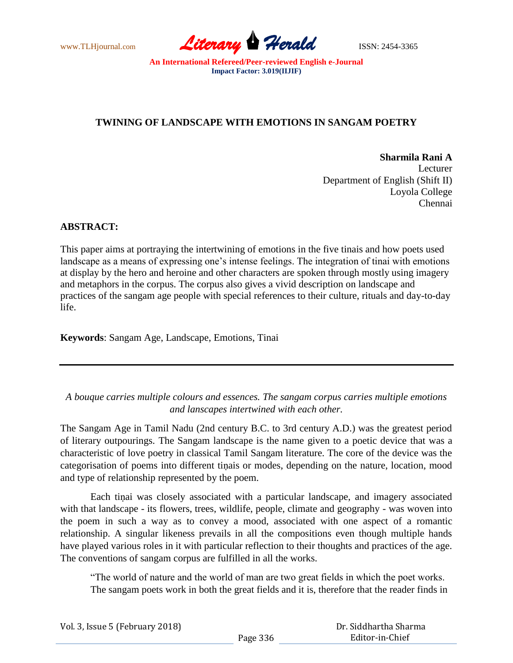

# **TWINING OF LANDSCAPE WITH EMOTIONS IN SANGAM POETRY**

**Sharmila Rani A** Lecturer Department of English (Shift II) Loyola College Chennai

## **ABSTRACT:**

This paper aims at portraying the intertwining of emotions in the five tinais and how poets used landscape as a means of expressing one's intense feelings. The integration of tinai with emotions at display by the hero and heroine and other characters are spoken through mostly using imagery and metaphors in the corpus. The corpus also gives a vivid description on landscape and practices of the sangam age people with special references to their culture, rituals and day-to-day life.

**Keywords**: Sangam Age, Landscape, Emotions, Tinai

*A bouque carries multiple colours and essences. The sangam corpus carries multiple emotions and lanscapes intertwined with each other.*

The Sangam Age in Tamil Nadu (2nd century B.C. to 3rd century A.D.) was the greatest period of literary outpourings. The Sangam landscape is the name given to a poetic device that was a characteristic of love poetry in classical Tamil Sangam literature. The core of the device was the categorisation of poems into different tiṇais or modes, depending on the nature, location, mood and type of relationship represented by the poem.

Each tiṇai was closely associated with a particular landscape, and imagery associated with that landscape - its flowers, trees, wildlife, people, climate and geography - was woven into the poem in such a way as to convey a mood, associated with one aspect of a romantic relationship. A singular likeness prevails in all the compositions even though multiple hands have played various roles in it with particular reflection to their thoughts and practices of the age. The conventions of sangam corpus are fulfilled in all the works.

"The world of nature and the world of man are two great fields in which the poet works. The sangam poets work in both the great fields and it is, therefore that the reader finds in

| Vol. 3, Issue 5 (February 2018) |          | Dr. Siddhartha Sharma |
|---------------------------------|----------|-----------------------|
|                                 | Page 336 | Editor-in-Chief       |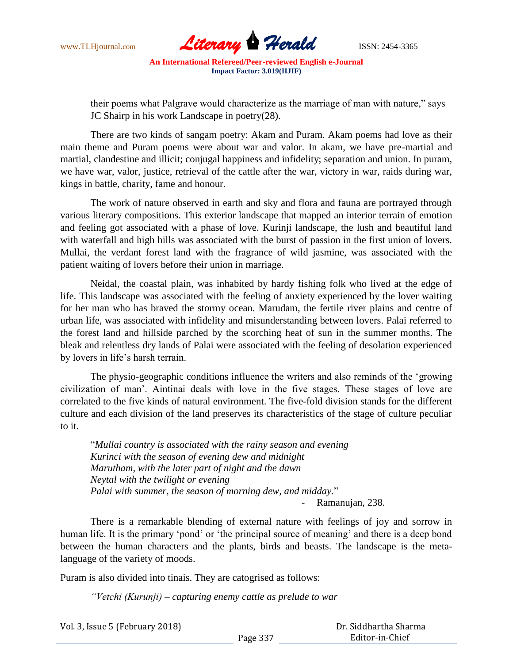

their poems what Palgrave would characterize as the marriage of man with nature," says JC Shairp in his work Landscape in poetry(28).

There are two kinds of sangam poetry: Akam and Puram. Akam poems had love as their main theme and Puram poems were about war and valor. In akam, we have pre-martial and martial, clandestine and illicit; conjugal happiness and infidelity; separation and union. In puram, we have war, valor, justice, retrieval of the cattle after the war, victory in war, raids during war, kings in battle, charity, fame and honour.

The work of nature observed in earth and sky and flora and fauna are portrayed through various literary compositions. This exterior landscape that mapped an interior terrain of emotion and feeling got associated with a phase of love. Kurinji landscape, the lush and beautiful land with waterfall and high hills was associated with the burst of passion in the first union of lovers. Mullai, the verdant forest land with the fragrance of wild jasmine, was associated with the patient waiting of lovers before their union in marriage.

Neidal, the coastal plain, was inhabited by hardy fishing folk who lived at the edge of life. This landscape was associated with the feeling of anxiety experienced by the lover waiting for her man who has braved the stormy ocean. Marudam, the fertile river plains and centre of urban life, was associated with infidelity and misunderstanding between lovers. Palai referred to the forest land and hillside parched by the scorching heat of sun in the summer months. The bleak and relentless dry lands of Palai were associated with the feeling of desolation experienced by lovers in life"s harsh terrain.

The physio-geographic conditions influence the writers and also reminds of the "growing civilization of man". Aintinai deals with love in the five stages. These stages of love are correlated to the five kinds of natural environment. The five-fold division stands for the different culture and each division of the land preserves its characteristics of the stage of culture peculiar to it.

"*Mullai country is associated with the rainy season and evening Kurinci with the season of evening dew and midnight Marutham, with the later part of night and the dawn Neytal with the twilight or evening Palai with summer, the season of morning dew, and midday.*" - Ramanujan, 238.

There is a remarkable blending of external nature with feelings of joy and sorrow in human life. It is the primary 'pond' or 'the principal source of meaning' and there is a deep bond between the human characters and the plants, birds and beasts. The landscape is the metalanguage of the variety of moods.

Puram is also divided into tinais. They are catogrised as follows:

*"Vetchi (Kurunji) – capturing enemy cattle as prelude to war*

| Vol. 3, Issue 5 (February 2018) |          | Dr. Siddhartha Sharma |  |
|---------------------------------|----------|-----------------------|--|
|                                 | Page 337 | Editor-in-Chief       |  |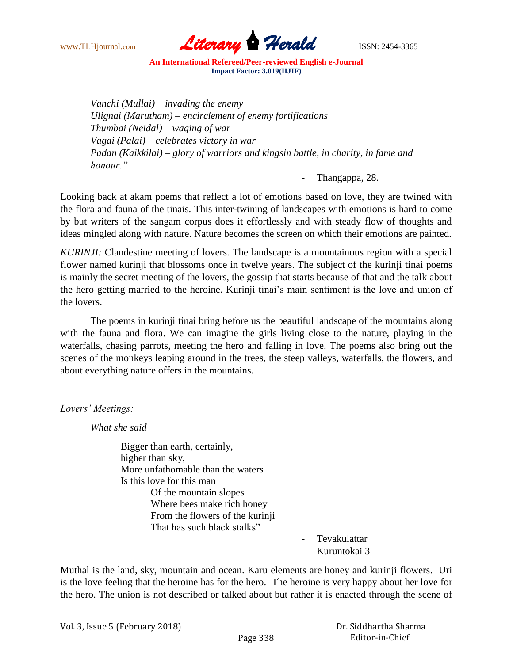

*Vanchi (Mullai) – invading the enemy Ulignai (Marutham) – encirclement of enemy fortifications Thumbai (Neidal) – waging of war Vagai (Palai) – celebrates victory in war Padan (Kaikkilai) – glory of warriors and kingsin battle, in charity, in fame and honour."*

Thangappa, 28.

Looking back at akam poems that reflect a lot of emotions based on love, they are twined with the flora and fauna of the tinais. This inter-twining of landscapes with emotions is hard to come by but writers of the sangam corpus does it effortlessly and with steady flow of thoughts and ideas mingled along with nature. Nature becomes the screen on which their emotions are painted.

*KURINJI:* Clandestine meeting of lovers. The landscape is a mountainous region with a special flower named kurinji that blossoms once in twelve years. The subject of the kurinji tinai poems is mainly the secret meeting of the lovers, the gossip that starts because of that and the talk about the hero getting married to the heroine. Kurinji tinai"s main sentiment is the love and union of the lovers.

The poems in kurinji tinai bring before us the beautiful landscape of the mountains along with the fauna and flora. We can imagine the girls living close to the nature, playing in the waterfalls, chasing parrots, meeting the hero and falling in love. The poems also bring out the scenes of the monkeys leaping around in the trees, the steep valleys, waterfalls, the flowers, and about everything nature offers in the mountains.

*Lovers' Meetings:*

*What she said*

Bigger than earth, certainly, higher than sky, More unfathomable than the waters Is this love for this man Of the mountain slopes Where bees make rich honey From the flowers of the kurinji That has such black stalks"

**Tevakulattar** Kuruntokai 3

Muthal is the land, sky, mountain and ocean. Karu elements are honey and kurinji flowers. Uri is the love feeling that the heroine has for the hero. The heroine is very happy about her love for the hero. The union is not described or talked about but rather it is enacted through the scene of

| Vol. 3, Issue 5 (February 2018) |          | Dr. Siddhartha Sharma |
|---------------------------------|----------|-----------------------|
|                                 | Page 338 | Editor-in-Chief       |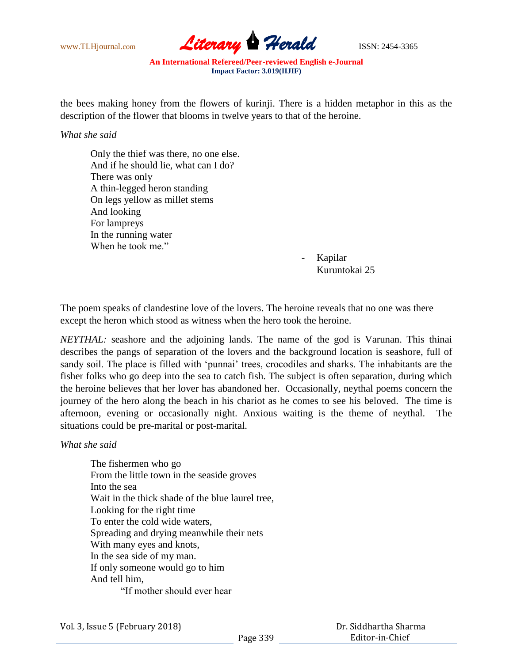

the bees making honey from the flowers of kurinji. There is a hidden metaphor in this as the description of the flower that blooms in twelve years to that of the heroine.

*What she said*

Only the thief was there, no one else. And if he should lie, what can I do? There was only A thin-legged heron standing On legs yellow as millet stems And looking For lampreys In the running water When he took me."

- Kapilar Kuruntokai 25

The poem speaks of clandestine love of the lovers. The heroine reveals that no one was there except the heron which stood as witness when the hero took the heroine.

*NEYTHAL:* seashore and the adjoining lands. The name of the god is Varunan. This thinai describes the pangs of separation of the lovers and the background location is seashore, full of sandy soil. The place is filled with 'punnai' trees, crocodiles and sharks. The inhabitants are the fisher folks who go deep into the sea to catch fish. The subject is often separation, during which the heroine believes that her lover has abandoned her. Occasionally, neythal poems concern the journey of the hero along the beach in his chariot as he comes to see his beloved. The time is afternoon, evening or occasionally night. Anxious waiting is the theme of neythal. The situations could be pre-marital or post-marital.

*What she said*

The fishermen who go From the little town in the seaside groves Into the sea Wait in the thick shade of the blue laurel tree, Looking for the right time To enter the cold wide waters, Spreading and drying meanwhile their nets With many eyes and knots, In the sea side of my man. If only someone would go to him And tell him, "If mother should ever hear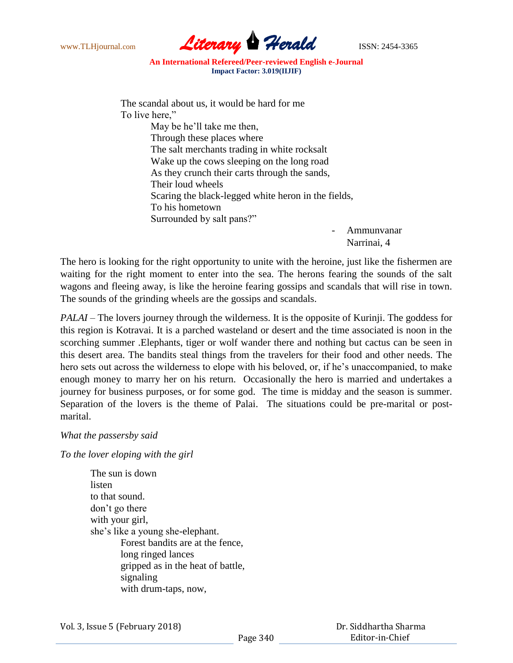

The scandal about us, it would be hard for me To live here," May be he'll take me then, Through these places where The salt merchants trading in white rocksalt Wake up the cows sleeping on the long road As they crunch their carts through the sands, Their loud wheels Scaring the black-legged white heron in the fields, To his hometown Surrounded by salt pans?"

- Ammunvanar Narrinai, 4

The hero is looking for the right opportunity to unite with the heroine, just like the fishermen are waiting for the right moment to enter into the sea. The herons fearing the sounds of the salt wagons and fleeing away, is like the heroine fearing gossips and scandals that will rise in town. The sounds of the grinding wheels are the gossips and scandals.

*PALAI* – The lovers journey through the wilderness. It is the opposite of Kurinji. The goddess for this region is Kotravai. It is a parched wasteland or desert and the time associated is noon in the scorching summer .Elephants, tiger or wolf wander there and nothing but cactus can be seen in this desert area. The bandits steal things from the travelers for their food and other needs. The hero sets out across the wilderness to elope with his beloved, or, if he's unaccompanied, to make enough money to marry her on his return. Occasionally the hero is married and undertakes a journey for business purposes, or for some god. The time is midday and the season is summer. Separation of the lovers is the theme of Palai. The situations could be pre-marital or postmarital.

*What the passersby said*

*To the lover eloping with the girl*

The sun is down listen to that sound. don"t go there with your girl, she"s like a young she-elephant. Forest bandits are at the fence, long ringed lances gripped as in the heat of battle, signaling with drum-taps, now,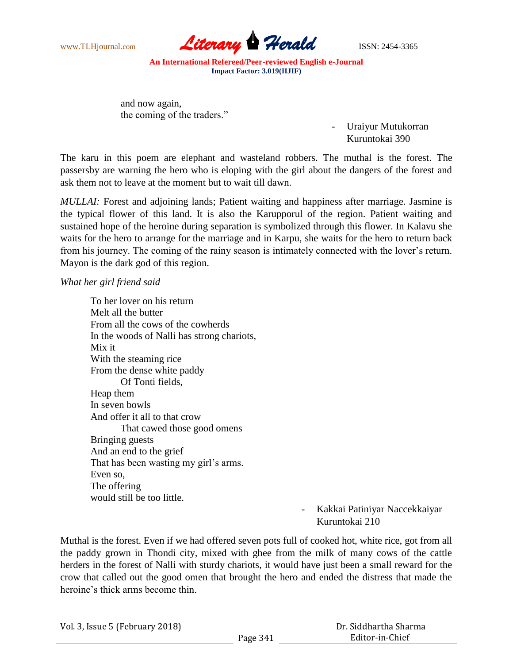

and now again, the coming of the traders."

> - Uraiyur Mutukorran Kuruntokai 390

The karu in this poem are elephant and wasteland robbers. The muthal is the forest. The passersby are warning the hero who is eloping with the girl about the dangers of the forest and ask them not to leave at the moment but to wait till dawn.

*MULLAI:* Forest and adjoining lands; Patient waiting and happiness after marriage. Jasmine is the typical flower of this land. It is also the Karupporul of the region. Patient waiting and sustained hope of the heroine during separation is symbolized through this flower. In Kalavu she waits for the hero to arrange for the marriage and in Karpu, she waits for the hero to return back from his journey. The coming of the rainy season is intimately connected with the lover"s return. Mayon is the dark god of this region.

### *What her girl friend said*

To her lover on his return Melt all the butter From all the cows of the cowherds In the woods of Nalli has strong chariots, Mix it With the steaming rice From the dense white paddy Of Tonti fields, Heap them In seven bowls And offer it all to that crow That cawed those good omens Bringing guests And an end to the grief That has been wasting my girl's arms. Even so, The offering would still be too little.

# - Kakkai Patiniyar Naccekkaiyar Kuruntokai 210

Muthal is the forest. Even if we had offered seven pots full of cooked hot, white rice, got from all the paddy grown in Thondi city, mixed with ghee from the milk of many cows of the cattle herders in the forest of Nalli with sturdy chariots, it would have just been a small reward for the crow that called out the good omen that brought the hero and ended the distress that made the heroine"s thick arms become thin.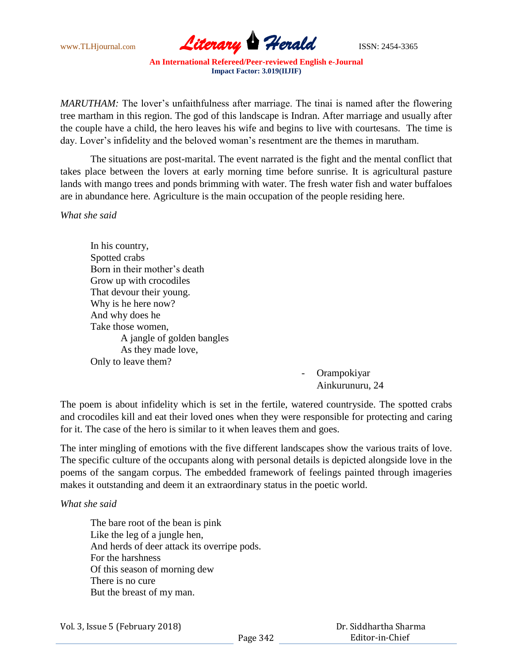

*MARUTHAM:* The lover's unfaithfulness after marriage. The tinai is named after the flowering tree martham in this region. The god of this landscape is Indran. After marriage and usually after the couple have a child, the hero leaves his wife and begins to live with courtesans. The time is day. Lover's infidelity and the beloved woman's resentment are the themes in marutham.

The situations are post-marital. The event narrated is the fight and the mental conflict that takes place between the lovers at early morning time before sunrise. It is agricultural pasture lands with mango trees and ponds brimming with water. The fresh water fish and water buffaloes are in abundance here. Agriculture is the main occupation of the people residing here.

*What she said*

In his country, Spotted crabs Born in their mother's death Grow up with crocodiles That devour their young. Why is he here now? And why does he Take those women, A jangle of golden bangles As they made love, Only to leave them?

**Orampokiyar** Ainkurunuru, 24

The poem is about infidelity which is set in the fertile, watered countryside. The spotted crabs and crocodiles kill and eat their loved ones when they were responsible for protecting and caring for it. The case of the hero is similar to it when leaves them and goes.

The inter mingling of emotions with the five different landscapes show the various traits of love. The specific culture of the occupants along with personal details is depicted alongside love in the poems of the sangam corpus. The embedded framework of feelings painted through imageries makes it outstanding and deem it an extraordinary status in the poetic world.

*What she said*

The bare root of the bean is pink Like the leg of a jungle hen, And herds of deer attack its overripe pods. For the harshness Of this season of morning dew There is no cure But the breast of my man.